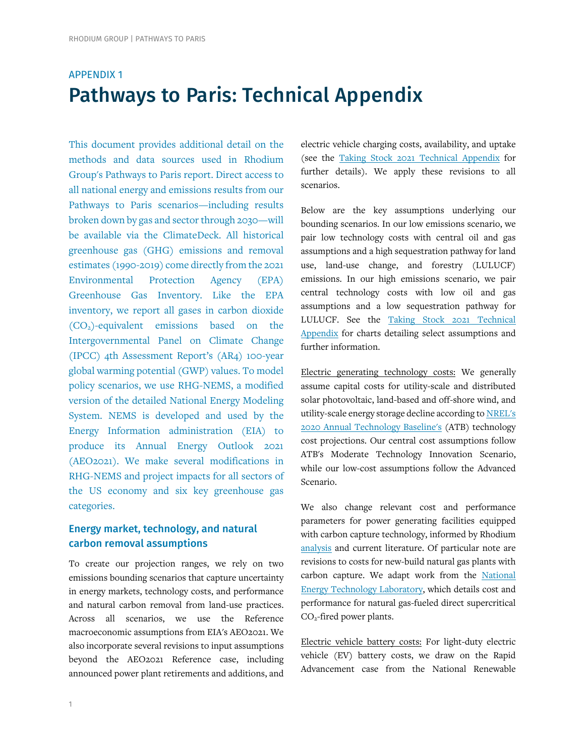# APPENDIX 1 Pathways to Paris: Technical Appendix

This document provides additional detail on the methods and data sources used in Rhodium Group's Pathways to Paris report. Direct access to all national energy and emissions results from our Pathways to Paris scenarios[—including results](https://rhg.com/data_story/climate-deck/)  [broken down by gas and sector through 2030—will](https://rhg.com/data_story/climate-deck/)  be [available via the](https://rhg.com/data_story/climate-deck/) ClimateDeck. All historical greenhouse gas (GHG) emissions and removal estimates (1990-2019) come directly from the 2021 Environmental Protection Agency (EPA) Greenhouse Gas [Inventory.](https://www.epa.gov/ghgemissions/inventory-us-greenhouse-gas-emissions-and-sinks-1990-2018) Like the EPA inventory, we report all gases in carbon dioxide (CO2)-equivalent emissions based on the Intergovernmental Panel on Climate Change (IPCC) 4th Assessment Report's [\(AR4\)](https://www.ipcc.ch/publications_and_data/ar4/wg1/en/ch2s2-10-2.html) 100-year global warming potential (GWP) values. To model policy scenarios, we use RHG-NEMS, a modified version of the detailed [National Energy Modeling](https://www.eia.gov/outlooks/aeo/nems/documentation/)  [System.](https://www.eia.gov/outlooks/aeo/nems/documentation/) NEMS is developed and used by the Energy Information administration (EIA) to produce its [Annual Energy Outlook 202](https://www.eia.gov/outlooks/aeo/)1 (AEO2021). We make several modifications in RHG-NEMS and project impacts for all sectors of the US economy and six key greenhouse gas categories.

## Energy market, technology, and natural carbon removal assumptions

To create our projection ranges, we rely on two emissions bounding scenarios that capture uncertainty in energy markets, technology costs, and performance and natural carbon removal from land-use practices. Across all scenarios, we use the Reference macroeconomic assumptions from EIA's AEO2021. We also incorporate several revisions to input assumptions beyond the AEO2021 Reference case, including announced power plant retirements and additions, and electric vehicle charging costs, availability, and uptake (see the [Taking Stock 2021 Technical Appendix](https://www.rhg.com/wp-content/uploads/2021/07/Taking-Stock-2021-Technical-Appendix.pdf) for further details). We apply these revisions to all scenarios.

Below are the key assumptions underlying our bounding scenarios. In our low emissions scenario, we pair low technology costs with central oil and gas assumptions and a high sequestration pathway for land use, land-use change, and forestry (LULUCF) emissions. In our high emissions scenario, we pair central technology costs with low oil and gas assumptions and a low sequestration pathway for LULUCF. See the [Taking Stock 2021 Technical](https://www.rhg.com/wp-content/uploads/2021/07/Taking-Stock-2021-Technical-Appendix.pdf)  [Appendix](https://www.rhg.com/wp-content/uploads/2021/07/Taking-Stock-2021-Technical-Appendix.pdf) for charts detailing select assumptions and further information.

Electric generating technology costs: We generally assume capital costs for utility-scale and distributed solar photovoltaic, land-based and off-shore wind, and utility-scale energy storage decline according t[o NREL's](https://atb.nrel.gov/)  [2020 Annual Technology Baseline's](https://atb.nrel.gov/) (ATB) technology cost projections. Our central cost assumptions follow ATB's Moderate Technology Innovation Scenario, while our low-cost assumptions follow the Advanced Scenario.

We also change relevant cost and performance parameters for power generating facilities equipped with carbon capture technology, informed by Rhodium [analysis](https://rhg.com/research/opportunities-for-advancing-electric-power-sector-carbon-capture/) and current literature. Of particular note are revisions to costs for new-build natural gas plants with carbon capture. We adapt work from the [National](https://netl.doe.gov/energy-analysis/details?id=eb6f9d1c-8fb8-45ee-9766-1ffe33d4cca8)  [Energy Technology Laboratory,](https://netl.doe.gov/energy-analysis/details?id=eb6f9d1c-8fb8-45ee-9766-1ffe33d4cca8) which details cost and performance for natural gas-fueled direct supercritical CO2-fired power plants.

Electric vehicle battery costs: For light-duty electric vehicle (EV) battery costs, we draw on the Rapid Advancement case from the National Renewable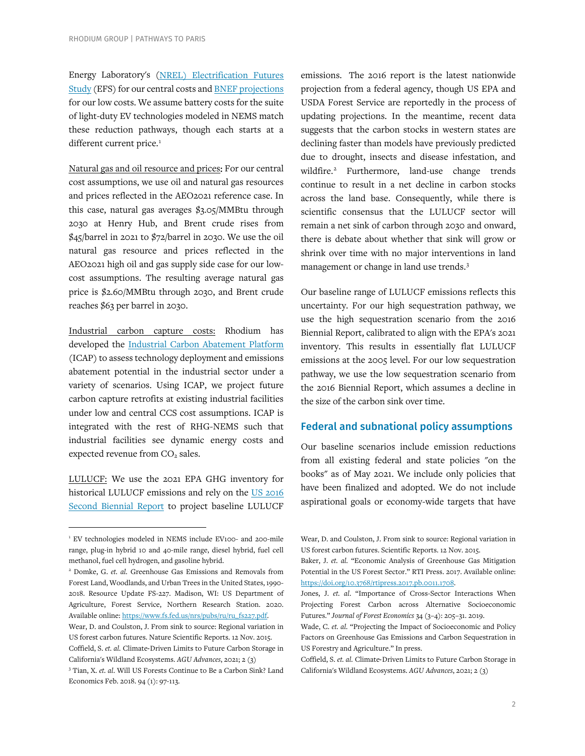Energy Laboratory's (NREL) [Electrification Futures](https://www.nrel.gov/docs/fy18osti/70485.pdf)  [Study](https://www.nrel.gov/docs/fy18osti/70485.pdf) (EFS) for our central costs an[d BNEF projections](https://about.bnef.com/new-energy-outlook/) for our low costs. We assume battery costs for the suite of light-duty EV technologies modeled in NEMS match these reduction pathways, though each starts at a different current price.<sup>[1](#page-1-0)</sup>

Natural gas and oil resource and prices: For our central cost assumptions, we use oil and natural gas resources and prices reflected in the AEO2021 reference case. In this case, natural gas averages \$3.05/MMBtu through 2030 at Henry Hub, and Brent crude rises from \$45/barrel in 2021 to \$72/barrel in 2030. We use the oil natural gas resource and prices reflected in the AEO2021 high oil and gas supply side case for our lowcost assumptions. The resulting average natural gas price is \$2.60/MMBtu through 2030, and Brent crude reaches \$63 per barrel in 2030.

Industrial carbon capture costs: Rhodium has developed the [Industrial Carbon Abatement Platform](https://rhg.com/research/industrial-carbon-capture/) (ICAP) to assess technology deployment and emissions abatement potential in the industrial sector under a variety of scenarios. Using ICAP, we project future carbon capture retrofits at existing industrial facilities under low and central CCS cost assumptions. ICAP is integrated with the rest of RHG-NEMS such that industrial facilities see dynamic energy costs and expected revenue from CO<sub>2</sub> sales.

LULUCF: We use the 2021 EPA GHG inventory for historical LULUCF emissions and rely on the [US 2016](https://unfccc.int/files/national_reports/biennial_reports_and_iar/submitted_biennial_reports/application/pdf/2016_second_biennial_report_of_the_united_states_.pdf)  [Second Biennial Report](https://unfccc.int/files/national_reports/biennial_reports_and_iar/submitted_biennial_reports/application/pdf/2016_second_biennial_report_of_the_united_states_.pdf) to project baseline LULUCF

emissions. The 2016 report is the latest nationwide projection from a federal agency, though US EPA and USDA Forest Service are reportedly in the process of updating projections. In the meantime, recent data suggests that the carbon stocks in western states are declining faster than models have previously predicted due to drought, insects and disease infestation, and wildfire. [2](#page-1-1) Furthermore, land-use change trends continue to result in a net decline in carbon stocks across the land base. Consequently, while there is scientific consensus that the LULUCF sector will remain a net sink of carbon through 2030 and onward, there is debate about whether that sink will grow or shrink over time with no major interventions in land management or change in land use trends.[3](#page-1-2)

Our baseline range of LULUCF emissions reflects this uncertainty. For our high sequestration pathway, we use the high sequestration scenario from the 2016 Biennial Report, calibrated to align with the EPA's 2021 inventory. This results in essentially flat LULUCF emissions at the 2005 level. For our low sequestration pathway, we use the low sequestration scenario from the 2016 Biennial Report, which assumes a decline in the size of the carbon sink over time.

### Federal and subnational policy assumptions

Our baseline scenarios include emission reductions from all existing federal and state policies "on the books" as of May 2021. We include only policies that have been finalized and adopted. We do not include aspirational goals or economy-wide targets that have

<span id="page-1-0"></span><sup>&</sup>lt;sup>1</sup> EV technologies modeled in NEMS include EV100- and 200-mile range, plug-in hybrid 10 and 40-mile range, diesel hybrid, fuel cell methanol, fuel cell hydrogen, and gasoline hybrid.

<span id="page-1-1"></span><sup>2</sup> Domke, G. *et. al.* Greenhouse Gas Emissions and Removals from Forest Land, Woodlands, and Urban Trees in the United States, 1990- 2018. Resource Update FS-227. Madison, WI: US Department of Agriculture, Forest Service, Northern Research Station. 2020. Available online[: https://www.fs.fed.us/nrs/pubs/ru/ru\\_fs227.pdf.](https://www.fs.fed.us/nrs/pubs/ru/ru_fs227.pdf)

Wear, D. and Coulston, J. From sink to source: Regional variation in US forest carbon futures. Nature Scientific Reports. 12 Nov. 2015. Coffield, S. *et. al.* Climate‐Driven Limits to Future Carbon Storage in California's Wildland Ecosystems. *AGU Advances*, 2021; 2 (3)

<span id="page-1-2"></span><sup>3</sup> Tian, X. *et. al*. Will US Forests Continue to Be a Carbon Sink? Land Economics Feb. 2018. 94 (1): 97-113.

Wear, D. and Coulston, J. From sink to source: Regional variation in US forest carbon futures. Scientific Reports. 12 Nov. 2015.

Baker, J. *et. al.* "Economic Analysis of Greenhouse Gas Mitigation Potential in the US Forest Sector." RTI Press. 2017. Available online: [https://doi.org/10.3768/rtipress.2017.pb.0011.1708.](https://doi.org/10.3768/rtipress.2017.pb.0011.1708)

Jones, J. *et. al*. "Importance of Cross-Sector Interactions When Projecting Forest Carbon across Alternative Socioeconomic Futures." *Journal of Forest Economics* 34 (3–4): 205–31. 2019.

Wade, C. *et. al.* "Projecting the Impact of Socioeconomic and Policy Factors on Greenhouse Gas Emissions and Carbon Sequestration in US Forestry and Agriculture." In press.

Coffield, S. *et. al.* Climate‐Driven Limits to Future Carbon Storage in California's Wildland Ecosystems. *AGU Advances*, 2021; 2 (3)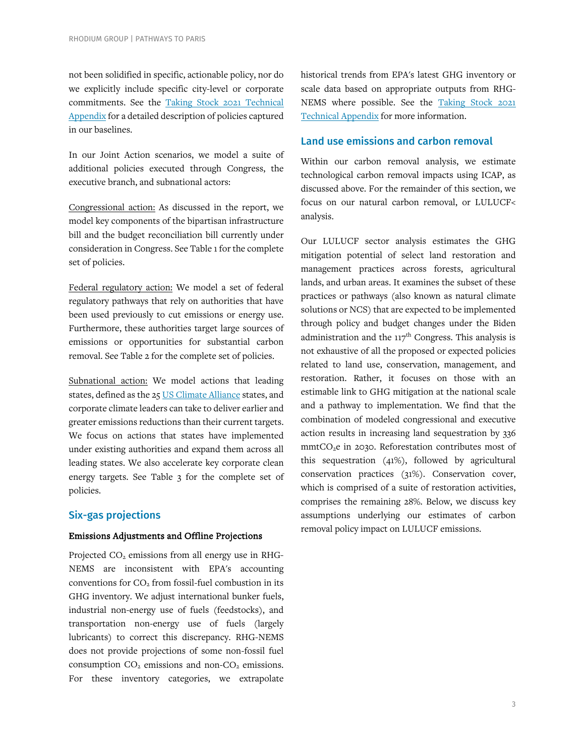not been solidified in specific, actionable policy, nor do we explicitly include specific city-level or corporate commitments. See the [Taking Stock 2021 Technical](https://www.rhg.com/wp-content/uploads/2021/07/Taking-Stock-2021-Technical-Appendix.pdf)  [Appendix](https://www.rhg.com/wp-content/uploads/2021/07/Taking-Stock-2021-Technical-Appendix.pdf) for a detailed description of policies captured in our baselines.

In our Joint Action scenarios, we model a suite of additional policies executed through Congress, the executive branch, and subnational actors:

Congressional action: As discussed in the report, we model key components of the bipartisan infrastructure bill and the budget reconciliation bill currently under consideration in Congress. See Table 1 for the complete set of policies.

Federal regulatory action: We model a set of federal regulatory pathways that rely on authorities that have been used previously to cut emissions or energy use. Furthermore, these authorities target large sources of emissions or opportunities for substantial carbon removal. See Table 2 for the complete set of policies.

Subnational action: We model actions that leading states, defined as the 25 [US Climate Alliance](https://www.usclimatealliance.org/) states, and corporate climate leaders can take to deliver earlier and greater emissions reductions than their current targets. We focus on actions that states have implemented under existing authorities and expand them across all leading states. We also accelerate key corporate clean energy targets. See Table 3 for the complete set of policies.

### Six-gas projections

#### Emissions Adjustments and Offline Projections

Projected CO<sub>2</sub> emissions from all energy use in RHG-NEMS are inconsistent with EPA's accounting conventions for  $CO<sub>2</sub>$  from fossil-fuel combustion in its GHG inventory. We adjust international bunker fuels, industrial non-energy use of fuels (feedstocks), and transportation non-energy use of fuels (largely lubricants) to correct this discrepancy. RHG-NEMS does not provide projections of some non-fossil fuel consumption  $CO<sub>2</sub>$  emissions and non- $CO<sub>2</sub>$  emissions. For these inventory categories, we extrapolate

historical trends from EPA's latest GHG inventory or scale data based on appropriate outputs from RHG-NEMS where possible. See the [Taking Stock 2021](https://www.rhg.com/wp-content/uploads/2021/07/Taking-Stock-2021-Technical-Appendix.pdf)  [Technical Appendix](https://www.rhg.com/wp-content/uploads/2021/07/Taking-Stock-2021-Technical-Appendix.pdf) for more information.

### Land use emissions and carbon removal

Within our carbon removal analysis, we estimate technological carbon removal impacts using ICAP, as discussed above. For the remainder of this section, we focus on our natural carbon removal, or LULUCF< analysis.

Our LULUCF sector analysis estimates the GHG mitigation potential of select land restoration and management practices across forests, agricultural lands, and urban areas. It examines the subset of these practices or pathways (also known as natural climate solutions or NCS) that are expected to be implemented through policy and budget changes under the Biden administration and the  $117<sup>th</sup>$  Congress. This analysis is not exhaustive of all the proposed or expected policies related to land use, conservation, management, and restoration. Rather, it focuses on those with an estimable link to GHG mitigation at the national scale and a pathway to implementation. We find that the combination of modeled congressional and executive action results in increasing land sequestration by 336 mmtCO<sub>2</sub>e in 2030. Reforestation contributes most of this sequestration (41%), followed by agricultural conservation practices (31%). Conservation cover, which is comprised of a suite of restoration activities, comprises the remaining 28%. Below, we discuss key assumptions underlying our estimates of carbon removal policy impact on LULUCF emissions.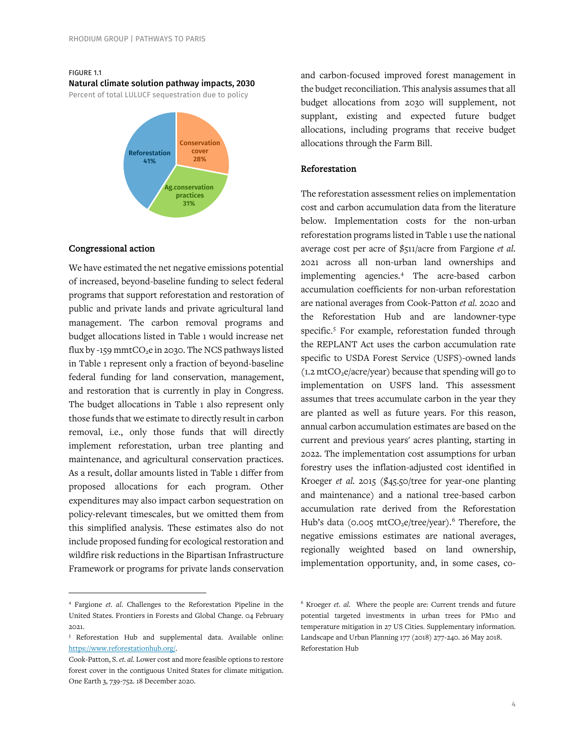#### FIGURE 1.1

Natural climate solution pathway impacts, 2030

Percent of total LULUCF sequestration due to policy



#### Congressional action

We have estimated the net negative emissions potential of increased, beyond-baseline funding to select federal programs that support reforestation and restoration of public and private lands and private agricultural land management. The carbon removal programs and budget allocations listed in Table 1 would increase net flux by -159 mmt $CO<sub>2</sub>e$  in 2030. The NCS pathways listed in Table 1 represent only a fraction of beyond-baseline federal funding for land conservation, management, and restoration that is currently in play in Congress. The budget allocations in Table 1 also represent only those funds that we estimate to directly result in carbon removal, i.e., only those funds that will directly implement reforestation, urban tree planting and maintenance, and agricultural conservation practices. As a result, dollar amounts listed in Table 1 differ from proposed allocations for each program. Other expenditures may also impact carbon sequestration on policy-relevant timescales, but we omitted them from this simplified analysis. These estimates also do not include proposed funding for ecological restoration and wildfire risk reductions in the Bipartisan Infrastructure Framework or programs for private lands conservation and carbon-focused improved forest management in the budget reconciliation. This analysis assumes that all budget allocations from 2030 will supplement, not supplant, existing and expected future budget allocations, including programs that receive budget allocations through the Farm Bill.

#### Reforestation

The reforestation assessment relies on implementation cost and carbon accumulation data from the literature below. Implementation costs for the non-urban reforestation programs listed in Table 1 use the national average cost per acre of \$511/acre from Fargione *et al.* 2021 across all non-urban land ownerships and implementing agencies.[4](#page-3-0) The acre-based carbon accumulation coefficients for non-urban reforestation are national averages from Cook-Patton *et al.* 2020 and the Reforestation Hub and are landowner-type specific.<sup>[5](#page-3-1)</sup> For example, reforestation funded through the REPLANT Act uses the carbon accumulation rate specific to USDA Forest Service (USFS)-owned lands  $(1.2 \text{ mtCO}_2e/ \text{acre/year})$  because that spending will go to implementation on USFS land. This assessment assumes that trees accumulate carbon in the year they are planted as well as future years. For this reason, annual carbon accumulation estimates are based on the current and previous years' acres planting, starting in 2022. The implementation cost assumptions for urban forestry uses the inflation-adjusted cost identified in Kroeger *et al.* 2015 (\$45.50/tree for year-one planting and maintenance) and a national tree-based carbon accumulation rate derived from the Reforestation Hub's data (0.005  $\text{mtCO}_2$ e/tree/year).<sup>[6](#page-3-0)</sup> Therefore, the negative emissions estimates are national averages, regionally weighted based on land ownership, implementation opportunity, and, in some cases, co-

<span id="page-3-0"></span><sup>4</sup> Fargione *et. al*. Challenges to the Reforestation Pipeline in the United States. Frontiers in Forests and Global Change. 04 February 2021.

<span id="page-3-1"></span><sup>5</sup> Reforestation Hub and supplemental data. Available online: [https://www.reforestationhub.org/.](https://www.reforestationhub.org/) 

Cook-Patton, S. *et. al.* Lower cost and more feasible options to restore forest cover in the contiguous United States for climate mitigation. One Earth 3, 739-752. 18 December 2020.

<sup>6</sup> Kroeger *et. al.* Where the people are: Current trends and future potential targeted investments in urban trees for PM10 and temperature mitigation in 27 US Cities. Supplementary information. Landscape and Urban Planning 177 (2018) 277-240. 26 May 2018. Reforestation Hub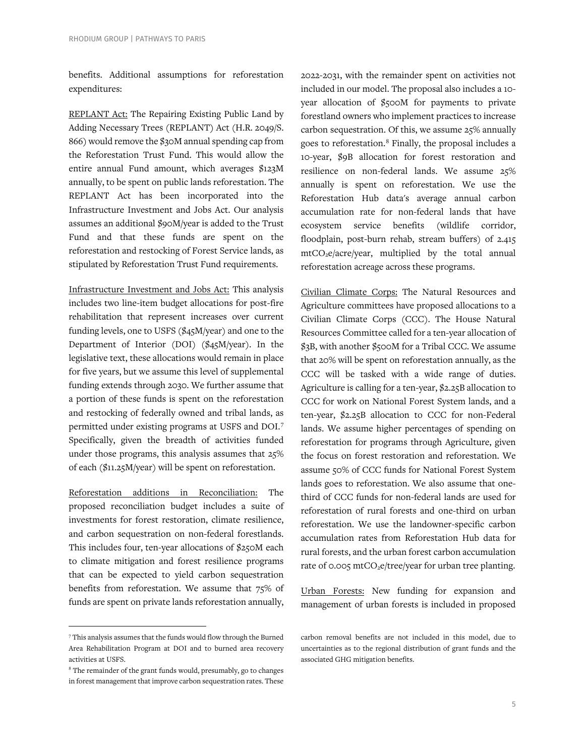benefits. Additional assumptions for reforestation expenditures:

REPLANT Act: The Repairing Existing Public Land by Adding Necessary Trees (REPLANT) Act (H.R. 2049/S. 866) would remove the \$30M annual spending cap from the Reforestation Trust Fund. This would allow the entire annual Fund amount, which averages \$123M annually, to be spent on public lands reforestation. The REPLANT Act has been incorporated into the Infrastructure Investment and Jobs Act. Our analysis assumes an additional \$90M/year is added to the Trust Fund and that these funds are spent on the reforestation and restocking of Forest Service lands, as stipulated by Reforestation Trust Fund requirements.

Infrastructure Investment and Jobs Act: This analysis includes two line-item budget allocations for post-fire rehabilitation that represent increases over current funding levels, one to USFS (\$45M/year) and one to the Department of Interior (DOI) (\$45M/year). In the legislative text, these allocations would remain in place for five years, but we assume this level of supplemental funding extends through 2030. We further assume that a portion of these funds is spent on the reforestation and restocking of federally owned and tribal lands, as permitted under existing programs at USFS and DOI.[7](#page-4-0) Specifically, given the breadth of activities funded under those programs, this analysis assumes that 25% of each (\$11.25M/year) will be spent on reforestation.

Reforestation additions in Reconciliation: The proposed reconciliation budget includes a suite of investments for forest restoration, climate resilience, and carbon sequestration on non-federal forestlands. This includes four, ten-year allocations of \$250M each to climate mitigation and forest resilience programs that can be expected to yield carbon sequestration benefits from reforestation. We assume that 75% of funds are spent on private lands reforestation annually, 2022-2031, with the remainder spent on activities not included in our model. The proposal also includes a 10 year allocation of \$500M for payments to private forestland owners who implement practices to increase carbon sequestration. Of this, we assume 25% annually goes to reforestation.[8](#page-4-1) Finally, the proposal includes a 10-year, \$9B allocation for forest restoration and resilience on non-federal lands. We assume 25% annually is spent on reforestation. We use the Reforestation Hub data's average annual carbon accumulation rate for non-federal lands that have ecosystem service benefits (wildlife corridor, floodplain, post-burn rehab, stream buffers) of 2.415 mtCO2e/acre/year, multiplied by the total annual reforestation acreage across these programs.

Civilian Climate Corps: The Natural Resources and Agriculture committees have proposed allocations to a Civilian Climate Corps (CCC). The House Natural Resources Committee called for a ten-year allocation of \$3B, with another \$500M for a Tribal CCC. We assume that 20% will be spent on reforestation annually, as the CCC will be tasked with a wide range of duties. Agriculture is calling for a ten-year, \$2.25B allocation to CCC for work on National Forest System lands, and a ten-year, \$2.25B allocation to CCC for non-Federal lands. We assume higher percentages of spending on reforestation for programs through Agriculture, given the focus on forest restoration and reforestation. We assume 50% of CCC funds for National Forest System lands goes to reforestation. We also assume that onethird of CCC funds for non-federal lands are used for reforestation of rural forests and one-third on urban reforestation. We use the landowner-specific carbon accumulation rates from Reforestation Hub data for rural forests, and the urban forest carbon accumulation rate of 0.005 mtCO<sub>2</sub>e/tree/year for urban tree planting.

Urban Forests: New funding for expansion and management of urban forests is included in proposed

<span id="page-4-0"></span><sup>7</sup> This analysis assumes that the funds would flow through the Burned Area Rehabilitation Program at DOI and to burned area recovery activities at USFS.

<span id="page-4-1"></span><sup>&</sup>lt;sup>8</sup> The remainder of the grant funds would, presumably, go to changes in forest management that improve carbon sequestration rates. These

carbon removal benefits are not included in this model, due to uncertainties as to the regional distribution of grant funds and the associated GHG mitigation benefits.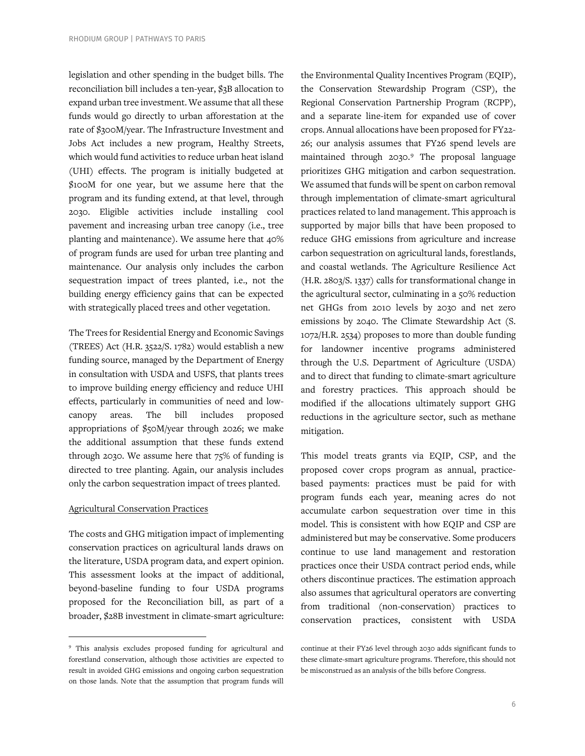legislation and other spending in the budget bills. The reconciliation bill includes a ten-year, \$3B allocation to expand urban tree investment. We assume that all these funds would go directly to urban afforestation at the rate of \$300M/year. The Infrastructure Investment and Jobs Act includes a new program, Healthy Streets, which would fund activities to reduce urban heat island (UHI) effects. The program is initially budgeted at \$100M for one year, but we assume here that the program and its funding extend, at that level, through 2030. Eligible activities include installing cool pavement and increasing urban tree canopy (i.e., tree planting and maintenance). We assume here that 40% of program funds are used for urban tree planting and maintenance. Our analysis only includes the carbon sequestration impact of trees planted, i.e., not the building energy efficiency gains that can be expected with strategically placed trees and other vegetation.

The Trees for Residential Energy and Economic Savings (TREES) Act (H.R. 3522/S. 1782) would establish a new funding source, managed by the Department of Energy in consultation with USDA and USFS, that plants trees to improve building energy efficiency and reduce UHI effects, particularly in communities of need and lowcanopy areas. The bill includes proposed appropriations of \$50M/year through 2026; we make the additional assumption that these funds extend through 2030. We assume here that 75% of funding is directed to tree planting. Again, our analysis includes only the carbon sequestration impact of trees planted.

#### Agricultural Conservation Practices

The costs and GHG mitigation impact of implementing conservation practices on agricultural lands draws on the literature, USDA program data, and expert opinion. This assessment looks at the impact of additional, beyond-baseline funding to four USDA programs proposed for the Reconciliation bill, as part of a broader, \$28B investment in climate-smart agriculture: the Environmental Quality Incentives Program (EQIP), the Conservation Stewardship Program (CSP), the Regional Conservation Partnership Program (RCPP), and a separate line-item for expanded use of cover crops. Annual allocations have been proposed for FY22- 26; our analysis assumes that FY26 spend levels are maintained through 2030.[9](#page-5-0) The proposal language prioritizes GHG mitigation and carbon sequestration. We assumed that funds will be spent on carbon removal through implementation of climate-smart agricultural practices related to land management. This approach is supported by major bills that have been proposed to reduce GHG emissions from agriculture and increase carbon sequestration on agricultural lands, forestlands, and coastal wetlands. The Agriculture Resilience Act (H.R. 2803/S. 1337) calls for transformational change in the agricultural sector, culminating in a 50% reduction net GHGs from 2010 levels by 2030 and net zero emissions by 2040. The Climate Stewardship Act (S. 1072/H.R. 2534) proposes to more than double funding for landowner incentive programs administered through the U.S. Department of Agriculture (USDA) and to direct that funding to climate-smart agriculture and forestry practices. This approach should be modified if the allocations ultimately support GHG reductions in the agriculture sector, such as methane mitigation.

This model treats grants via EQIP, CSP, and the proposed cover crops program as annual, practicebased payments: practices must be paid for with program funds each year, meaning acres do not accumulate carbon sequestration over time in this model. This is consistent with how EQIP and CSP are administered but may be conservative. Some producers continue to use land management and restoration practices once their USDA contract period ends, while others discontinue practices. The estimation approach also assumes that agricultural operators are converting from traditional (non-conservation) practices to conservation practices, consistent with USDA

<span id="page-5-0"></span><sup>9</sup> This analysis excludes proposed funding for agricultural and forestland conservation, although those activities are expected to result in avoided GHG emissions and ongoing carbon sequestration on those lands. Note that the assumption that program funds will

continue at their FY26 level through 2030 adds significant funds to these climate-smart agriculture programs. Therefore, this should not be misconstrued as an analysis of the bills before Congress.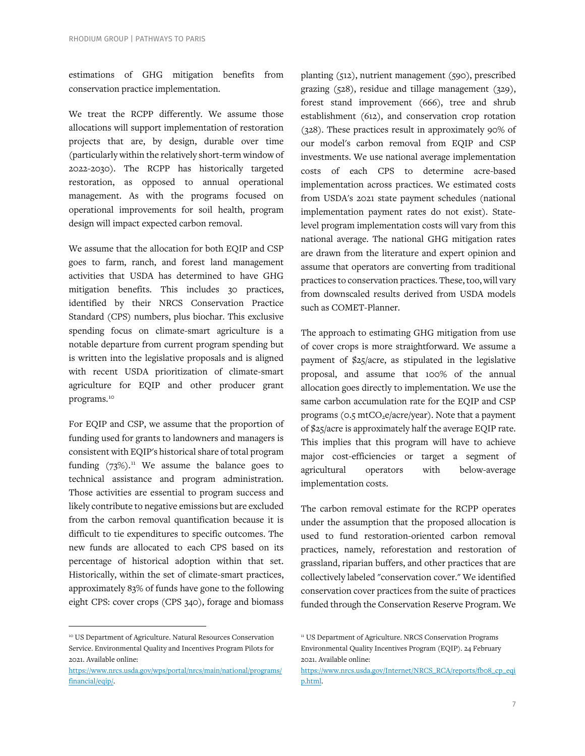estimations of GHG mitigation benefits from conservation practice implementation.

We treat the RCPP differently. We assume those allocations will support implementation of restoration projects that are, by design, durable over time (particularly within the relatively short-term window of 2022-2030). The RCPP has historically targeted restoration, as opposed to annual operational management. As with the programs focused on operational improvements for soil health, program design will impact expected carbon removal.

We assume that the allocation for both EQIP and CSP goes to farm, ranch, and forest land management activities that USDA has determined to have GHG mitigation benefits. This includes 30 practices, identified by their NRCS Conservation Practice Standard (CPS) numbers, plus biochar. This exclusive spending focus on climate-smart agriculture is a notable departure from current program spending but is written into the legislative proposals and is aligned with recent USDA prioritization of climate-smart agriculture for EQIP and other producer grant programs.<sup>[10](#page-6-0)</sup>

For EQIP and CSP, we assume that the proportion of funding used for grants to landowners and managers is consistent with EQIP's historical share of total program funding  $(73\%)$ .<sup>[11](#page-6-0)</sup> We assume the balance goes to technical assistance and program administration. Those activities are essential to program success and likely contribute to negative emissions but are excluded from the carbon removal quantification because it is difficult to tie expenditures to specific outcomes. The new funds are allocated to each CPS based on its percentage of historical adoption within that set. Historically, within the set of climate-smart practices, approximately 83% of funds have gone to the following eight CPS: cover crops (CPS 340), forage and biomass

planting (512), nutrient management (590), prescribed grazing (528), residue and tillage management (329), forest stand improvement (666), tree and shrub establishment (612), and conservation crop rotation (328). These practices result in approximately 90% of our model's carbon removal from EQIP and CSP investments. We use national average implementation costs of each CPS to determine acre-based implementation across practices. We estimated costs from USDA's 2021 state payment schedules (national implementation payment rates do not exist). Statelevel program implementation costs will vary from this national average. The national GHG mitigation rates are drawn from the literature and expert opinion and assume that operators are converting from traditional practices to conservation practices. These, too, will vary from downscaled results derived from USDA models such as COMET-Planner.

The approach to estimating GHG mitigation from use of cover crops is more straightforward. We assume a payment of \$25/acre, as stipulated in the legislative proposal, and assume that 100% of the annual allocation goes directly to implementation. We use the same carbon accumulation rate for the EQIP and CSP programs ( $o.5$  mtCO<sub>2</sub>e/acre/year). Note that a payment of \$25/acre is approximately half the average EQIP rate. This implies that this program will have to achieve major cost-efficiencies or target a segment of agricultural operators with below-average implementation costs.

The carbon removal estimate for the RCPP operates under the assumption that the proposed allocation is used to fund restoration-oriented carbon removal practices, namely, reforestation and restoration of grassland, riparian buffers, and other practices that are collectively labeled "conservation cover." We identified conservation cover practices from the suite of practices funded through the Conservation Reserve Program. We

<span id="page-6-0"></span><sup>&</sup>lt;sup>10</sup> US Department of Agriculture. Natural Resources Conservation Service. Environmental Quality and Incentives Program Pilots for 2021. Available online:

[https://www.nrcs.usda.gov/wps/portal/nrcs/main/national/programs/](https://www.nrcs.usda.gov/wps/portal/nrcs/main/national/programs/financial/eqip/) [financial/eqip/.](https://www.nrcs.usda.gov/wps/portal/nrcs/main/national/programs/financial/eqip/)

<sup>&</sup>lt;sup>11</sup> US Department of Agriculture. NRCS Conservation Programs Environmental Quality Incentives Program (EQIP). 24 February 2021. Available online:

[https://www.nrcs.usda.gov/Internet/NRCS\\_RCA/reports/fb08\\_cp\\_eqi](https://www.nrcs.usda.gov/Internet/NRCS_RCA/reports/fb08_cp_eqip.html) [p.html.](https://www.nrcs.usda.gov/Internet/NRCS_RCA/reports/fb08_cp_eqip.html)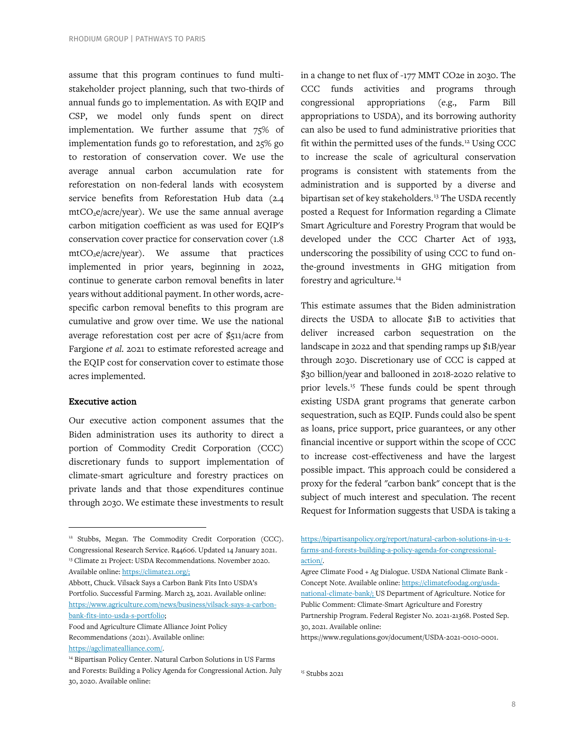assume that this program continues to fund multistakeholder project planning, such that two-thirds of annual funds go to implementation. As with EQIP and CSP, we model only funds spent on direct implementation. We further assume that 75% of implementation funds go to reforestation, and 25% go to restoration of conservation cover. We use the average annual carbon accumulation rate for reforestation on non-federal lands with ecosystem service benefits from Reforestation Hub data (2.4  $mtCO<sub>2</sub>e/acre/year$ ). We use the same annual average carbon mitigation coefficient as was used for EQIP's conservation cover practice for conservation cover (1.8  $mtCO<sub>2</sub>e/acre/year)$ . We assume that practices implemented in prior years, beginning in 2022, continue to generate carbon removal benefits in later years without additional payment. In other words, acrespecific carbon removal benefits to this program are cumulative and grow over time. We use the national average reforestation cost per acre of \$511/acre from Fargione *et al.* 2021 to estimate reforested acreage and the EQIP cost for conservation cover to estimate those acres implemented.

#### Executive action

Our executive action component assumes that the Biden administration uses its authority to direct a portion of Commodity Credit Corporation (CCC) discretionary funds to support implementation of climate-smart agriculture and forestry practices on private lands and that those expenditures continue through 2030. We estimate these investments to result

<span id="page-7-1"></span>Abbott, Chuck. Vilsack Says a Carbon Bank Fits Into USDA's Portfolio. Successful Farming. March 23, 2021. Available online: [https://www.agriculture.com/news/business/vilsack-says-a-carbon](https://www.agriculture.com/news/business/vilsack-says-a-carbon-bank-fits-into-usda-s-portfolio)[bank-fits-into-usda-s-portfolio;](https://www.agriculture.com/news/business/vilsack-says-a-carbon-bank-fits-into-usda-s-portfolio)

in a change to net flux of -177 MMT CO2e in 2030. The CCC funds activities and programs through congressional appropriations (e.g., Farm Bill appropriations to USDA), and its borrowing authority can also be used to fund administrative priorities that fit within the permitted uses of the funds.[12](#page-7-0) Using CCC to increase the scale of agricultural conservation programs is consistent with statements from the administration and is supported by a diverse and bipartisan set of key stakeholders. [13](#page-7-1) The USDA recently posted a Request for Information regarding a Climate Smart Agriculture and Forestry Program that would be developed under the CCC Charter Act of 1933, underscoring the possibility of using CCC to fund onthe-ground investments in GHG mitigation from forestry and agriculture. [14](#page-7-2)

This estimate assumes that the Biden administration directs the USDA to allocate \$1B to activities that deliver increased carbon sequestration on the landscape in 2022 and that spending ramps up \$1B/year through 2030. Discretionary use of CCC is capped at \$30 billion/year and ballooned in 2018-2020 relative to prior levels.<sup>[15](#page-7-3)</sup> These funds could be spent through existing USDA grant programs that generate carbon sequestration, such as EQIP. Funds could also be spent as loans, price support, price guarantees, or any other financial incentive or support within the scope of CCC to increase cost-effectiveness and have the largest possible impact. This approach could be considered a proxy for the federal "carbon bank" concept that is the subject of much interest and speculation. The recent Request for Information suggests that USDA is taking a

<sup>15</sup> Stubbs 2021

<span id="page-7-0"></span><sup>&</sup>lt;sup>12</sup> Stubbs, Megan. The Commodity Credit Corporation (CCC). Congressional Research Service. R44606. Updated 14 January 2021. <sup>13</sup> Climate 21 Project: USDA Recommendations. November 2020. Available online[: https://climate21.org/;](https://climate21.org/)

Food and Agriculture Climate Alliance Joint Policy Recommendations (2021). Available online: [https://agclimatealliance.com/.](https://agclimatealliance.com/) 

<span id="page-7-3"></span><span id="page-7-2"></span><sup>&</sup>lt;sup>14</sup> Bipartisan Policy Center. Natural Carbon Solutions in US Farms and Forests: Building a Policy Agenda for Congressional Action. July 30, 2020. Available online:

[https://bipartisanpolicy.org/report/natural-carbon-solutions-in-u-s](https://bipartisanpolicy.org/report/natural-carbon-solutions-in-u-s-farms-and-forests-building-a-policy-agenda-for-congressional-action/)[farms-and-forests-building-a-policy-agenda-for-congressional](https://bipartisanpolicy.org/report/natural-carbon-solutions-in-u-s-farms-and-forests-building-a-policy-agenda-for-congressional-action/)[action/.](https://bipartisanpolicy.org/report/natural-carbon-solutions-in-u-s-farms-and-forests-building-a-policy-agenda-for-congressional-action/)

Agree Climate Food + Ag Dialogue. USDA National Climate Bank - Concept Note. Available online: [https://climatefoodag.org/usda](https://climatefoodag.org/usda-national-climate-bank/)[national-climate-bank/;](https://climatefoodag.org/usda-national-climate-bank/) US Department of Agriculture. Notice for Public Comment: Climate-Smart Agriculture and Forestry Partnership Program. Federal Register No. 2021-21368. Posted Sep. 30, 2021. Available online:

https://www.regulations.gov/document/USDA-2021-0010-0001.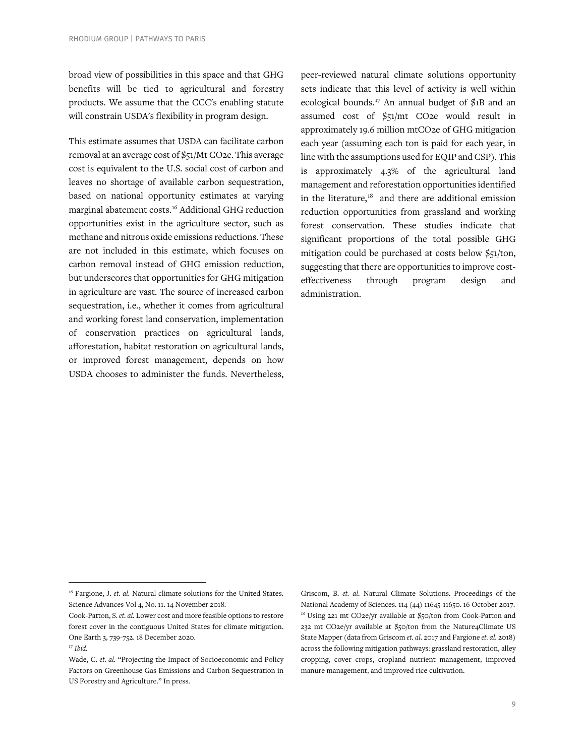broad view of possibilities in this space and that GHG benefits will be tied to agricultural and forestry products. We assume that the CCC's enabling statute will constrain USDA's flexibility in program design.

This estimate assumes that USDA can facilitate carbon removal at an average cost of \$51/Mt CO2e. This average cost is equivalent to the U.S. social cost of carbon and leaves no shortage of available carbon sequestration, based on national opportunity estimates at varying marginal abatement costs.[16](#page-8-0) Additional GHG reduction opportunities exist in the agriculture sector, such as methane and nitrous oxide emissions reductions. These are not included in this estimate, which focuses on carbon removal instead of GHG emission reduction, but underscores that opportunities for GHG mitigation in agriculture are vast. The source of increased carbon sequestration, i.e., whether it comes from agricultural and working forest land conservation, implementation of conservation practices on agricultural lands, afforestation, habitat restoration on agricultural lands, or improved forest management, depends on how USDA chooses to administer the funds. Nevertheless,

peer-reviewed natural climate solutions opportunity sets indicate that this level of activity is well within ecological bounds.[17](#page-8-1) An annual budget of \$1B and an assumed cost of \$51/mt CO2e would result in approximately 19.6 million mtCO2e of GHG mitigation each year (assuming each ton is paid for each year, in line with the assumptions used for EQIP and CSP). This is approximately 4.3% of the agricultural land management and reforestation opportunities identified in the literature, [18](#page-8-2) and there are additional emission reduction opportunities from grassland and working forest conservation. These studies indicate that significant proportions of the total possible GHG mitigation could be purchased at costs below \$51/ton, suggesting that there are opportunities to improve costeffectiveness through program design and administration.

Griscom, B. *et. al.* Natural Climate Solutions. Proceedings of the National Academy of Sciences. 114 (44) 11645-11650. 16 October 2017. <sup>18</sup> Using 221 mt CO2e/yr available at \$50/ton from Cook-Patton and 232 mt CO2e/yr available at \$50/ton from the Nature4Climate US State Mapper (data from Griscom *et. al.* 2017 and Fargione *et. al.* 2018) across the following mitigation pathways: grassland restoration, alley cropping, cover crops, cropland nutrient management, improved manure management, and improved rice cultivation.

<span id="page-8-0"></span><sup>&</sup>lt;sup>16</sup> Fargione, J. *et. al.* Natural climate solutions for the United States. Science Advances Vol 4, No. 11. 14 November 2018.

<span id="page-8-2"></span>Cook-Patton, S. *et. al.* Lower cost and more feasible options to restore forest cover in the contiguous United States for climate mitigation. One Earth 3, 739-752. 18 December 2020. <sup>17</sup> *Ibid.*

<span id="page-8-1"></span>Wade, C. *et. al.* "Projecting the Impact of Socioeconomic and Policy Factors on Greenhouse Gas Emissions and Carbon Sequestration in US Forestry and Agriculture." In press.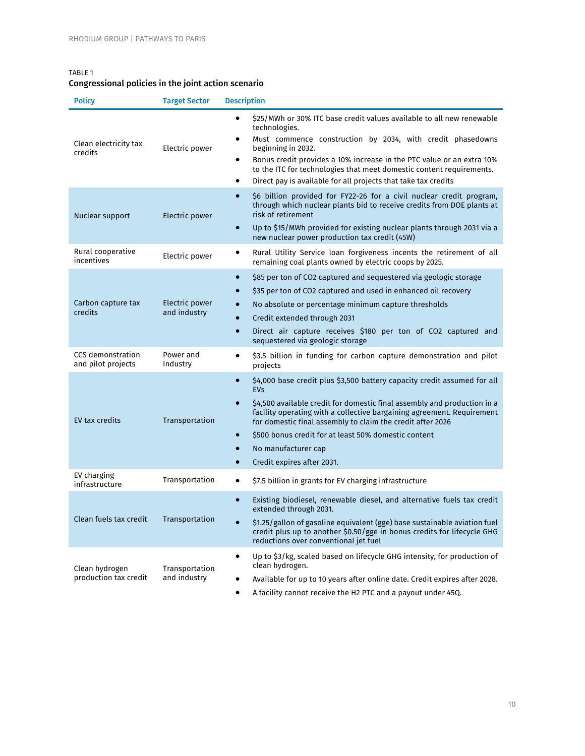# TABLE 1

# Congressional policies in the joint action scenario

| <b>Policy</b>                           | <b>Target Sector</b>           | <b>Description</b>                                                                                                                                                                                                                                                                                                                                                                                                                                                                       |
|-----------------------------------------|--------------------------------|------------------------------------------------------------------------------------------------------------------------------------------------------------------------------------------------------------------------------------------------------------------------------------------------------------------------------------------------------------------------------------------------------------------------------------------------------------------------------------------|
| Clean electricity tax<br>credits        | Electric power                 | \$25/MWh or 30% ITC base credit values available to all new renewable<br>$\bullet$<br>technologies.<br>Must commence construction by 2034, with credit phasedowns<br>$\bullet$<br>beginning in 2032.<br>Bonus credit provides a 10% increase in the PTC value or an extra 10%<br>٠<br>to the ITC for technologies that meet domestic content requirements.<br>Direct pay is available for all projects that take tax credits<br>٠                                                        |
| Nuclear support                         | Electric power                 | \$6 billion provided for FY22-26 for a civil nuclear credit program,<br>$\bullet$<br>through which nuclear plants bid to receive credits from DOE plants at<br>risk of retirement<br>Up to \$15/MWh provided for existing nuclear plants through 2031 via a<br>$\bullet$<br>new nuclear power production tax credit (45W)                                                                                                                                                                |
| Rural cooperative<br>incentives         | Electric power                 | Rural Utility Service loan forgiveness incents the retirement of all<br>٠<br>remaining coal plants owned by electric coops by 2025.                                                                                                                                                                                                                                                                                                                                                      |
| Carbon capture tax<br>credits           | Electric power<br>and industry | \$85 per ton of CO2 captured and sequestered via geologic storage<br>$\bullet$<br>\$35 per ton of CO2 captured and used in enhanced oil recovery<br>$\bullet$<br>No absolute or percentage minimum capture thresholds<br>$\bullet$<br>Credit extended through 2031<br>$\bullet$<br>Direct air capture receives \$180 per ton of CO2 captured and<br>$\bullet$<br>sequestered via geologic storage                                                                                        |
| CCS demonstration<br>and pilot projects | Power and<br>Industry          | \$3.5 billion in funding for carbon capture demonstration and pilot<br>٠<br>projects                                                                                                                                                                                                                                                                                                                                                                                                     |
| <b>EV tax credits</b>                   | Transportation                 | \$4,000 base credit plus \$3,500 battery capacity credit assumed for all<br>$\bullet$<br><b>EVs</b><br>\$4,500 available credit for domestic final assembly and production in a<br>$\bullet$<br>facility operating with a collective bargaining agreement. Requirement<br>for domestic final assembly to claim the credit after 2026<br>\$500 bonus credit for at least 50% domestic content<br>$\bullet$<br>No manufacturer cap<br>$\bullet$<br>Credit expires after 2031.<br>$\bullet$ |
| EV charging<br>infrastructure           | Transportation                 | \$7.5 billion in grants for EV charging infrastructure<br>$\bullet$                                                                                                                                                                                                                                                                                                                                                                                                                      |
| Clean fuels tax credit                  | Transportation                 | $\bullet$<br>Existing biodiesel, renewable diesel, and alternative fuels tax credit<br>extended through 2031.<br>\$1.25/gallon of gasoline equivalent (gge) base sustainable aviation fuel<br>$\bullet$<br>credit plus up to another \$0.50/gge in bonus credits for lifecycle GHG<br>reductions over conventional jet fuel                                                                                                                                                              |
| Clean hydrogen<br>production tax credit | Transportation<br>and industry | Up to \$3/kg, scaled based on lifecycle GHG intensity, for production of<br>٠<br>clean hydrogen.<br>Available for up to 10 years after online date. Credit expires after 2028.<br>A facility cannot receive the H2 PTC and a payout under 45Q.<br>٠                                                                                                                                                                                                                                      |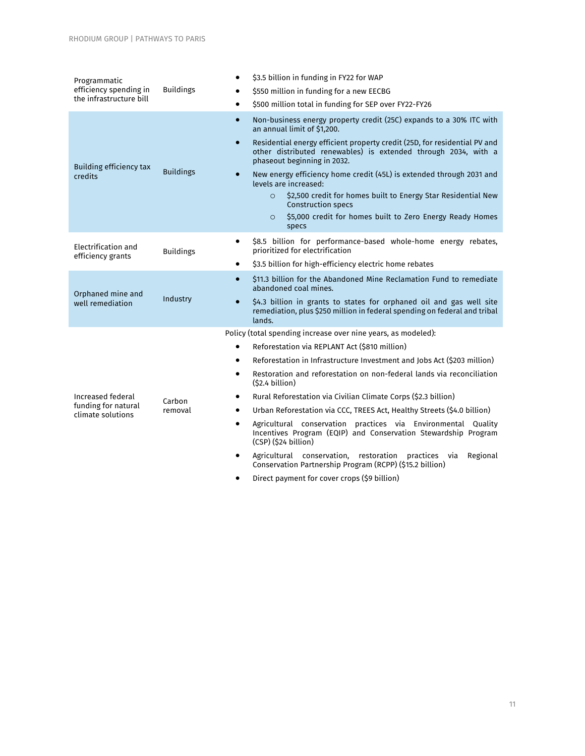| Programmatic<br>efficiency spending in<br>the infrastructure bill | <b>Buildings</b> | \$3.5 billion in funding in FY22 for WAP<br>$\bullet$                                                                                                                                   |
|-------------------------------------------------------------------|------------------|-----------------------------------------------------------------------------------------------------------------------------------------------------------------------------------------|
|                                                                   |                  | \$550 million in funding for a new EECBG<br>$\bullet$                                                                                                                                   |
|                                                                   |                  | \$500 million total in funding for SEP over FY22-FY26<br>$\bullet$                                                                                                                      |
| Building efficiency tax<br>credits                                |                  | Non-business energy property credit (25C) expands to a 30% ITC with<br>$\bullet$<br>an annual limit of \$1,200.                                                                         |
|                                                                   | <b>Buildings</b> | Residential energy efficient property credit (25D, for residential PV and<br>$\bullet$<br>other distributed renewables) is extended through 2034, with a<br>phaseout beginning in 2032. |
|                                                                   |                  | New energy efficiency home credit (45L) is extended through 2031 and<br>$\bullet$<br>levels are increased:                                                                              |
|                                                                   |                  | \$2,500 credit for homes built to Energy Star Residential New<br>$\Omega$<br><b>Construction specs</b>                                                                                  |
|                                                                   |                  | \$5,000 credit for homes built to Zero Energy Ready Homes<br>$\circ$<br>specs                                                                                                           |
| Electrification and<br>efficiency grants                          | <b>Buildings</b> | \$8.5 billion for performance-based whole-home energy rebates,<br>$\bullet$<br>prioritized for electrification                                                                          |
|                                                                   |                  | \$3.5 billion for high-efficiency electric home rebates<br>$\bullet$                                                                                                                    |
| Orphaned mine and<br>well remediation                             | Industry         | \$11.3 billion for the Abandoned Mine Reclamation Fund to remediate<br>$\bullet$<br>abandoned coal mines.                                                                               |
|                                                                   |                  | \$4.3 billion in grants to states for orphaned oil and gas well site<br>$\bullet$<br>remediation, plus \$250 million in federal spending on federal and tribal<br>lands.                |
|                                                                   |                  | Policy (total spending increase over nine years, as modeled):                                                                                                                           |
|                                                                   |                  | Reforestation via REPLANT Act (\$810 million)<br>$\bullet$                                                                                                                              |
|                                                                   |                  | Reforestation in Infrastructure Investment and Jobs Act (\$203 million)<br>$\bullet$                                                                                                    |
| Increased federal<br>funding for natural<br>climate solutions     |                  | Restoration and reforestation on non-federal lands via reconciliation<br>$\bullet$<br>(52.4 billion)                                                                                    |
|                                                                   | Carbon           | Rural Reforestation via Civilian Climate Corps (\$2.3 billion)<br>٠                                                                                                                     |
|                                                                   | removal          | Urban Reforestation via CCC, TREES Act, Healthy Streets (\$4.0 billion)<br>$\bullet$                                                                                                    |
|                                                                   |                  | Agricultural conservation practices via Environmental Quality<br>$\bullet$<br>Incentives Program (EQIP) and Conservation Stewardship Program<br>(CSP) (\$24 billion)                    |
|                                                                   |                  | Agricultural conservation, restoration practices via<br>Regional<br>$\bullet$<br>Conservation Partnership Program (RCPP) (\$15.2 billion)                                               |
|                                                                   |                  | Direct payment for cover crops (\$9 billion)<br>$\bullet$                                                                                                                               |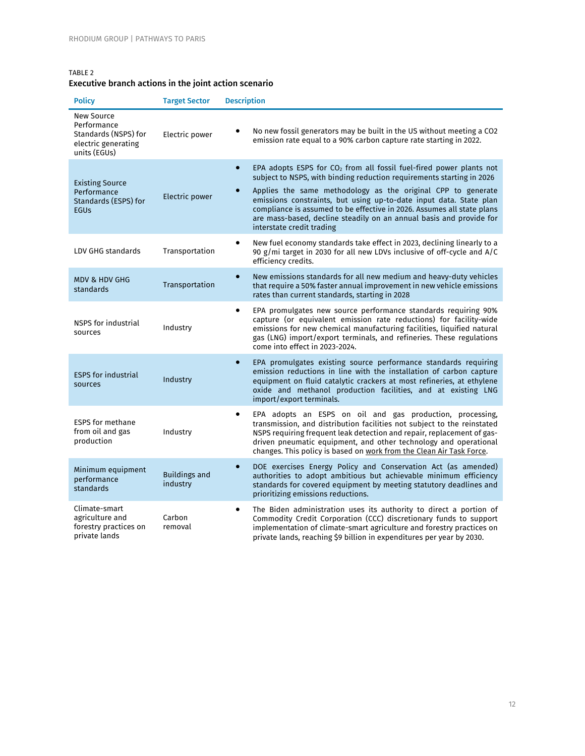### TABLE 2 Executive branch actions in the joint action scenario

| <b>Policy</b>                                                                                   | <b>Target Sector</b>             | <b>Description</b>                                                                                                                                                                                                                                                                                                                                                                                                                                                                        |
|-------------------------------------------------------------------------------------------------|----------------------------------|-------------------------------------------------------------------------------------------------------------------------------------------------------------------------------------------------------------------------------------------------------------------------------------------------------------------------------------------------------------------------------------------------------------------------------------------------------------------------------------------|
| <b>New Source</b><br>Performance<br>Standards (NSPS) for<br>electric generating<br>units (EGUs) | Electric power                   | No new fossil generators may be built in the US without meeting a CO2<br>emission rate equal to a 90% carbon capture rate starting in 2022.                                                                                                                                                                                                                                                                                                                                               |
| <b>Existing Source</b><br>Performance<br>Standards (ESPS) for<br>EGUS                           | Electric power                   | EPA adopts ESPS for CO <sub>2</sub> from all fossil fuel-fired power plants not<br>$\bullet$<br>subject to NSPS, with binding reduction requirements starting in 2026<br>Applies the same methodology as the original CPP to generate<br>emissions constraints, but using up-to-date input data. State plan<br>compliance is assumed to be effective in 2026. Assumes all state plans<br>are mass-based, decline steadily on an annual basis and provide for<br>interstate credit trading |
| LDV GHG standards                                                                               | Transportation                   | New fuel economy standards take effect in 2023, declining linearly to a<br>$\bullet$<br>90 g/mi target in 2030 for all new LDVs inclusive of off-cycle and A/C<br>efficiency credits.                                                                                                                                                                                                                                                                                                     |
| <b>MDV &amp; HDV GHG</b><br>standards                                                           | Transportation                   | New emissions standards for all new medium and heavy-duty vehicles<br>$\bullet$<br>that require a 50% faster annual improvement in new vehicle emissions<br>rates than current standards, starting in 2028                                                                                                                                                                                                                                                                                |
| NSPS for industrial<br>sources                                                                  | Industry                         | EPA promulgates new source performance standards requiring 90%<br>$\bullet$<br>capture (or equivalent emission rate reductions) for facility-wide<br>emissions for new chemical manufacturing facilities, liquified natural<br>gas (LNG) import/export terminals, and refineries. These regulations<br>come into effect in 2023-2024.                                                                                                                                                     |
| <b>ESPS</b> for industrial<br>sources                                                           | Industry                         | EPA promulgates existing source performance standards requiring<br>$\bullet$<br>emission reductions in line with the installation of carbon capture<br>equipment on fluid catalytic crackers at most refineries, at ethylene<br>oxide and methanol production facilities, and at existing LNG<br>import/export terminals.                                                                                                                                                                 |
| <b>ESPS</b> for methane<br>from oil and gas<br>production                                       | Industry                         | EPA adopts an ESPS on oil and gas production, processing,<br>$\bullet$<br>transmission, and distribution facilities not subject to the reinstated<br>NSPS requiring frequent leak detection and repair, replacement of gas-<br>driven pneumatic equipment, and other technology and operational<br>changes. This policy is based on work from the Clean Air Task Force.                                                                                                                   |
| Minimum equipment<br>performance<br>standards                                                   | <b>Buildings and</b><br>industry | DOE exercises Energy Policy and Conservation Act (as amended)<br>$\bullet$<br>authorities to adopt ambitious but achievable minimum efficiency<br>standards for covered equipment by meeting statutory deadlines and<br>prioritizing emissions reductions.                                                                                                                                                                                                                                |
| Climate-smart<br>agriculture and<br>forestry practices on<br>private lands                      | Carbon<br>removal                | The Biden administration uses its authority to direct a portion of<br>٠<br>Commodity Credit Corporation (CCC) discretionary funds to support<br>implementation of climate-smart agriculture and forestry practices on<br>private lands, reaching \$9 billion in expenditures per year by 2030.                                                                                                                                                                                            |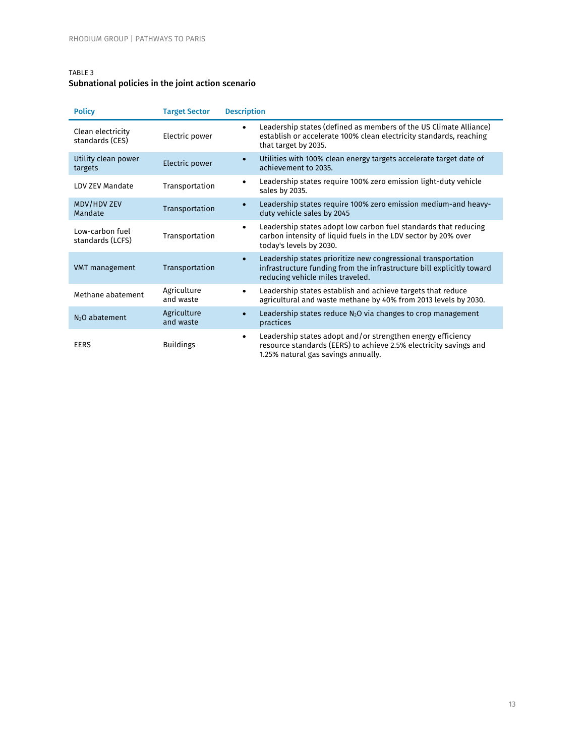# TABLE 3

# Subnational policies in the joint action scenario

| <b>Policy</b>                        | <b>Target Sector</b>     | <b>Description</b>                                                                                                                                                                      |
|--------------------------------------|--------------------------|-----------------------------------------------------------------------------------------------------------------------------------------------------------------------------------------|
| Clean electricity<br>standards (CES) | Electric power           | Leadership states (defined as members of the US Climate Alliance)<br>$\bullet$<br>establish or accelerate 100% clean electricity standards, reaching<br>that target by 2035.            |
| Utility clean power<br>targets       | Electric power           | Utilities with 100% clean energy targets accelerate target date of<br>$\bullet$<br>achievement to 2035.                                                                                 |
| LDV ZEV Mandate                      | Transportation           | Leadership states require 100% zero emission light-duty vehicle<br>$\bullet$<br>sales by 2035.                                                                                          |
| MDV/HDV ZEV<br>Mandate               | Transportation           | Leadership states require 100% zero emission medium-and heavy-<br>duty vehicle sales by 2045                                                                                            |
| Low-carbon fuel<br>standards (LCFS)  | Transportation           | Leadership states adopt low carbon fuel standards that reducing<br>$\bullet$<br>carbon intensity of liquid fuels in the LDV sector by 20% over<br>today's levels by 2030.               |
| VMT management                       | Transportation           | Leadership states prioritize new congressional transportation<br>$\bullet$<br>infrastructure funding from the infrastructure bill explicitly toward<br>reducing vehicle miles traveled. |
| Methane abatement                    | Agriculture<br>and waste | Leadership states establish and achieve targets that reduce<br>$\bullet$<br>agricultural and waste methane by 40% from 2013 levels by 2030.                                             |
| N <sub>2</sub> O abatement           | Agriculture<br>and waste | Leadership states reduce $N_2O$ via changes to crop management<br>$\bullet$<br>practices                                                                                                |
| <b>EERS</b>                          | <b>Buildings</b>         | Leadership states adopt and/or strengthen energy efficiency<br>$\bullet$<br>resource standards (EERS) to achieve 2.5% electricity savings and<br>1.25% natural gas savings annually.    |